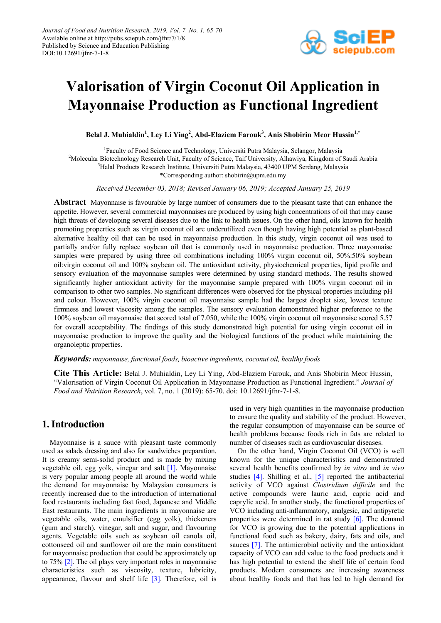

# **Valorisation of Virgin Coconut Oil Application in Mayonnaise Production as Functional Ingredient**

**Belal J. Muhialdin<sup>1</sup> , Ley Li Ying<sup>2</sup> , Abd-Elaziem Farouk3 , Anis Shobirin Meor Hussin1,\***

<sup>1</sup>Faculty of Food Science and Technology, Universiti Putra Malaysia, Selangor, Malaysia <sup>2</sup>Molecular Biotechnology Research Unit, Faculty of Science, Taif University, Alhawiya, Kingdom of Saudi Arabia <sup>3</sup>Halal Products Research Institute, Universiti Putra Malaysia 43400 UPM Serdang, Malaysia <sup>3</sup>Halal Products Research Institute, Universiti Putra Malaysia, 43400 UPM Serdang, Malaysia \*Corresponding author: shobirin@upm.edu.my

*Received December 03, 2018; Revised January 06, 2019; Accepted January 25, 2019*

**Abstract** Mayonnaise is favourable by large number of consumers due to the pleasant taste that can enhance the appetite. However, several commercial mayonnaises are produced by using high concentrations of oil that may cause high threats of developing several diseases due to the link to health issues. On the other hand, oils known for health promoting properties such as virgin coconut oil are underutilized even though having high potential as plant-based alternative healthy oil that can be used in mayonnaise production. In this study, virgin coconut oil was used to partially and/or fully replace soybean oil that is commonly used in mayonnaise production. Three mayonnaise samples were prepared by using three oil combinations including 100% virgin coconut oil, 50%:50% soybean oil:virgin coconut oil and 100% soybean oil. The antioxidant activity, physiochemical properties, lipid profile and sensory evaluation of the mayonnaise samples were determined by using standard methods. The results showed significantly higher antioxidant activity for the mayonnaise sample prepared with 100% virgin coconut oil in comparison to other two samples. No significant differences were observed for the physical properties including pH and colour. However, 100% virgin coconut oil mayonnaise sample had the largest droplet size, lowest texture firmness and lowest viscosity among the samples. The sensory evaluation demonstrated higher preference to the 100% soybean oil mayonnaise that scored total of 7.050, while the 100% virgin coconut oil mayonnaise scored 5.57 for overall acceptability. The findings of this study demonstrated high potential for using virgin coconut oil in mayonnaise production to improve the quality and the biological functions of the product while maintaining the organoleptic properties.

#### *Keywords: mayonnaise, functional foods, bioactive ingredients, coconut oil, healthy foods*

**Cite This Article:** Belal J. Muhialdin, Ley Li Ying, Abd-Elaziem Farouk, and Anis Shobirin Meor Hussin, "Valorisation of Virgin Coconut Oil Application in Mayonnaise Production as Functional Ingredient." *Journal of Food and Nutrition Research*, vol. 7, no. 1 (2019): 65-70. doi: 10.12691/jfnr-7-1-8.

# **1. Introduction**

Mayonnaise is a sauce with pleasant taste commonly used as salads dressing and also for sandwiches preparation. It is creamy semi-solid product and is made by mixing vegetable oil, egg yolk, vinegar and salt [\[1\].](#page-5-0) Mayonnaise is very popular among people all around the world while the demand for mayonnaise by Malaysian consumers is recently increased due to the introduction of international food restaurants including fast food, Japanese and Middle East restaurants. The main ingredients in mayonnaise are vegetable oils, water, emulsifier (egg yolk), thickeners (gum and starch), vinegar, salt and sugar, and flavouring agents. Vegetable oils such as soybean oil canola oil, cottonseed oil and sunflower oil are the main constituent for mayonnaise production that could be approximately up to 75% [\[2\].](#page-5-1) The oil plays very important roles in mayonnaise characteristics such as viscosity, texture, lubricity, appearance, flavour and shelf life [\[3\].](#page-5-2) Therefore, oil is used in very high quantities in the mayonnaise production to ensure the quality and stability of the product. However, the regular consumption of mayonnaise can be source of health problems because foods rich in fats are related to number of diseases such as cardiovascular diseases.

On the other hand, Virgin Coconut Oil (VCO) is well known for the unique characteristics and demonstrated several health benefits confirmed by *in vitro* and *in vivo* studies [\[4\].](#page-5-3) Shilling et al., [\[5\]](#page-5-4) reported the antibacterial activity of VCO against *Clostridium difficile* and the active compounds were lauric acid, capric acid and caprylic acid. In another study, the functional properties of VCO including anti-inflammatory, analgesic, and antipyretic properties were determined in rat study [\[6\].](#page-5-5) The demand for VCO is growing due to the potential applications in functional food such as bakery, dairy, fats and oils, and sauces [\[7\].](#page-5-6) The antimicrobial activity and the antioxidant capacity of VCO can add value to the food products and it has high potential to extend the shelf life of certain food products. Modern consumers are increasing awareness about healthy foods and that has led to high demand for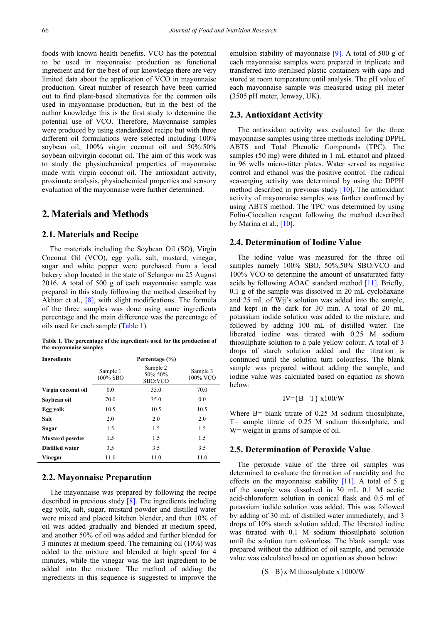foods with known health benefits. VCO has the potential to be used in mayonnaise production as functional ingredient and for the best of our knowledge there are very limited data about the application of VCO in mayonnaise production. Great number of research have been carried out to find plant-based alternatives for the common oils used in mayonnaise production, but in the best of the author knowledge this is the first study to determine the potential use of VCO. Therefore, Mayonnaise samples were produced by using standardized recipe but with three different oil formulations were selected including 100% soybean oil, 100% virgin coconut oil and 50%:50% soybean oil:virgin coconut oil. The aim of this work was to study the physiochemical properties of mayonnaise made with virgin coconut oil. The antioxidant activity, proximate analysis, physiochemical properties and sensory evaluation of the mayonnaise were further determined.

# **2. Materials and Methods**

## **2.1. Materials and Recipe**

The materials including the Soybean Oil (SO), Virgin Coconut Oil (VCO), egg yolk, salt, mustard, vinegar, sugar and white pepper were purchased from a local bakery shop located in the state of Selangor on 25 August 2016. A total of 500 g of each mayonnaise sample was prepared in this study following the method described by Akhtar et al., [\[8\],](#page-5-7) with slight modifications. The formula of the three samples was done using same ingredients percentage and the main difference was the percentage of oils used for each sample [\(Table 1\)](#page-1-0).

**Table 1. The percentage of the ingredients used for the production of the mayonnaise samples**

<span id="page-1-0"></span>

| <b>Ingredients</b>     |                      | Percentage (%)                 |                      |
|------------------------|----------------------|--------------------------------|----------------------|
|                        | Sample 1<br>100% SBO | Sample 2<br>50%:50%<br>SBO:VCO | Sample 3<br>100% VCO |
| Virgin coconut oil     | 0.0                  | 35.0                           | 70.0                 |
| Sovbean oil            | 70.0                 | 35.0                           | 0.0                  |
| Egg yolk               | 10.5                 | 10.5                           | 10.5                 |
| Salt                   | 2.0                  | 2.0                            | 2.0                  |
| Sugar                  | 1.5                  | 1.5                            | 1.5                  |
| <b>Mustard</b> powder  | 1.5                  | 1.5                            | 1.5                  |
| <b>Distilled water</b> | 3.5                  | 3.5                            | 3.5                  |
| Vinegar                | 11.0                 | 11.0                           | 11.0                 |

## **2.2. Mayonnaise Preparation**

The mayonnaise was prepared by following the recipe described in previous study [\[8\].](#page-5-7) The ingredients including egg yolk, salt, sugar, mustard powder and distilled water were mixed and placed kitchen blender, and then 10% of oil was added gradually and blended at medium speed, and another 50% of oil was added and further blended for 3 minutes at medium speed. The remaining oil (10%) was added to the mixture and blended at high speed for 4 minutes, while the vinegar was the last ingredient to be added into the mixture. The method of adding the ingredients in this sequence is suggested to improve the

emulsion stability of mayonnaise [\[9\].](#page-5-8) A total of 500 g of each mayonnaise samples were prepared in triplicate and transferred into sterilised plastic containers with caps and stored at room temperature until analysis. The pH value of each mayonnaise sample was measured using pH meter (3505 pH meter, Jenway, UK).

#### **2.3. Antioxidant Activity**

The antioxidant activity was evaluated for the three mayonnaise samples using three methods including DPPH, ABTS and Total Phenolic Compounds (TPC). The samples (50 mg) were diluted in 1 mL ethanol and placed in 96 wells micro-titter plates. Water served as negative control and ethanol was the positive control. The radical scavenging activity was determined by using the DPPH method described in previous study [\[10\].](#page-5-9) The antioxidant activity of mayonnaise samples was further confirmed by using ABTS method. The TPC was determined by using Folin-Ciocalteu reagent following the method described by Marina et al., [\[10\].](#page-5-9)

#### **2.4. Determination of Iodine Value**

The iodine value was measured for the three oil samples namely 100% SBO, 50%:50% SBO:VCO and 100% VCO to determine the amount of unsaturated fatty acids by following AOAC standard method [\[11\].](#page-5-10) Briefly, 0.1 g of the sample was dissolved in 20 mL cyclohaxane and 25 mL of Wij's solution was added into the sample, and kept in the dark for 30 min. A total of 20 mL potassium iodide solution was added to the mixture, and followed by adding 100 mL of distilled water. The liberated iodine was titrated with 0.25 M sodium thiosulphate solution to a pale yellow colour. A total of 3 drops of starch solution added and the titration is continued until the solution turn colourless. The blank sample was prepared without adding the sample, and iodine value was calculated based on equation as shown below:

$$
IV=(B-T) x100/W
$$

Where B= blank titrate of 0.25 M sodium thiosulphate, T= sample titrate of 0.25 M sodium thiosulphate, and W = weight in grams of sample of oil.

## **2.5. Determination of Peroxide Value**

The peroxide value of the three oil samples was determined to evaluate the formation of rancidity and the effects on the mayonnaise stability  $[11]$ . A total of 5 g of the sample was dissolved in 30 mL 0.1 M acetic acid-chloroform solution in conical flask and 0.5 ml of potassium iodide solution was added. This was followed by adding of 30 mL of distilled water immediately, and 3 drops of 10% starch solution added. The liberated iodine was titrated with 0.1 M sodium thiosulphate solution until the solution turn colourless. The blank sample was prepared without the addition of oil sample, and peroxide value was calculated based on equation as shown below:

 $(S - B)x$  M thiosulphate x 1000/W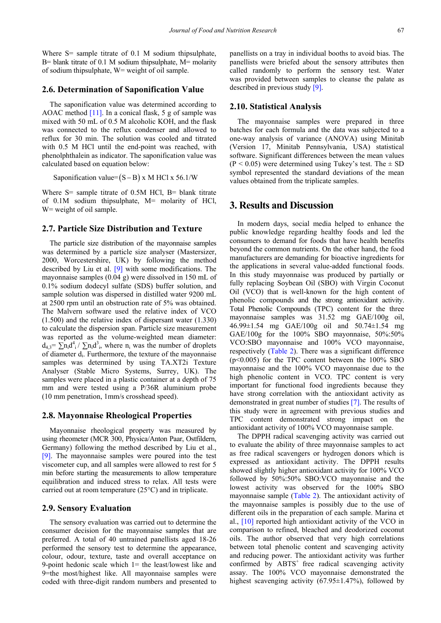Where S= sample titrate of 0.1 M sodium thipsulphate,  $B =$  blank titrate of 0.1 M sodium thipsulphate,  $M =$  molarity of sodium thipsulphate, W= weight of oil sample.

#### **2.6. Determination of Saponification Value**

The saponification value was determined according to AOAC method  $[11]$ . In a conical flask, 5 g of sample was mixed with 50 mL of 0.5 M alcoholic KOH, and the flask was connected to the reflux condenser and allowed to reflux for 30 min. The solution was cooled and titrated with 0.5 M HCl until the end-point was reached, with phenolphthalein as indicator. The saponification value was calculated based on equation below:

Saponification value=  $(S - B)$  x M HCl x 56.1/W

Where  $S$ = sample titrate of 0.5M HCl,  $B$ = blank titrate of 0.1M sodium thipsulphate, M= molarity of HCl, W = weight of oil sample.

#### **2.7. Particle Size Distribution and Texture**

The particle size distribution of the mayonnaise samples was determined by a particle size analyser (Mastersizer, 2000, Worcestershire, UK) by following the method described by Liu et al. [\[9\]](#page-5-8) with some modifications. The mayonnaise samples (0.04 g) were dissolved in 150 mL of 0.1% sodium dodecyl sulfate (SDS) buffer solution, and sample solution was dispersed in distilled water 9200 mL at 2500 rpm until an obstruction rate of 5% was obtained. The Malvern software used the relative index of VCO (1.500) and the relative index of dispersant water (1.330) to calculate the dispersion span. Particle size measurement was reported as the volume-weighted mean diameter:  $d_{4,3} = \sum n_i d_i^4 / \sum n_i d_i^3$ , where  $n_i$  was the number of droplets of diameter di. Furthermore, the texture of the mayonnaise samples was determined by using TA.XT2i Texture Analyser (Stable Micro Systems, Surrey, UK). The samples were placed in a plastic container at a depth of 75 mm and were tested using a P/36R aluminium probe (10 mm penetration, 1mm/s crosshead speed).

#### **2.8. Mayonnaise Rheological Properties**

Mayonnaise rheological property was measured by using rheometer (MCR 300, Physica/Anton Paar, Ostfildern, Germany) following the method described by Liu et al., [\[9\].](#page-5-8) The mayonnaise samples were poured into the test viscometer cup, and all samples were allowed to rest for 5 min before starting the measurements to allow temperature equilibration and induced stress to relax. All tests were carried out at room temperature (25°C) and in triplicate.

#### **2.9. Sensory Evaluation**

The sensory evaluation was carried out to determine the consumer decision for the mayonnaise samples that are preferred. A total of 40 untrained panellists aged 18-26 performed the sensory test to determine the appearance, colour, odour, texture, taste and overall acceptance on 9-point hedonic scale which 1= the least/lowest like and 9=the most/highest like. All mayonnaise samples were coded with three-digit random numbers and presented to panellists on a tray in individual booths to avoid bias. The panellists were briefed about the sensory attributes then called randomly to perform the sensory test. Water was provided between samples to cleanse the palate as described in previous study [\[9\].](#page-5-8)

## **2.10. Statistical Analysis**

The mayonnaise samples were prepared in three batches for each formula and the data was subjected to a one-way analysis of variance (ANOVA) using Minitab (Version 17, Minitab Pennsylvania, USA) statistical software. Significant differences between the mean values  $(P < 0.05)$  were determined using Tukey's test. The  $\pm$  SD symbol represented the standard deviations of the mean values obtained from the triplicate samples.

## **3. Results and Discussion**

In modern days, social media helped to enhance the public knowledge regarding healthy foods and led the consumers to demand for foods that have health benefits beyond the common nutrients. On the other hand, the food manufacturers are demanding for bioactive ingredients for the applications in several value-added functional foods. In this study mayonnaise was produced by partially or fully replacing Soybean Oil (SBO) with Virgin Coconut Oil (VCO) that is well-known for the high content of phenolic compounds and the strong antioxidant activity. Total Phenolic Compounds (TPC) content for the three mayonnaise samples was 31.52 mg GAE/100g oil, 46.99±1.54 mg GAE/100g oil and 50.74±1.54 mg GAE/100g for the 100% SBO mayonnaise, 50%:50% VCO:SBO mayonnaise and 100% VCO mayonnaise, respectively [\(Table 2\)](#page-4-0). There was a significant difference (p<0.005) for the TPC content between the 100% SBO mayonnaise and the 100% VCO mayonnaise due to the high phenolic content in VCO. TPC content is very important for functional food ingredients because they have strong correlation with the antioxidant activity as demonstrated in great number of studies [\[7\].](#page-5-6) The results of this study were in agreement with previous studies and TPC content demonstrated strong impact on the antioxidant activity of 100% VCO mayonnaise sample.

The DPPH radical scavenging activity was carried out to evaluate the ability of three mayonnaise samples to act as free radical scavengers or hydrogen donors which is expressed as antioxidant activity. The DPPH results showed slightly higher antioxidant activity for 100% VCO followed by 50%:50% SBO:VCO mayonnaise and the lowest activity was observed for the 100% SBO mayonnaise sample [\(Table 2\)](#page-4-0). The antioxidant activity of the mayonnaise samples is possibly due to the use of different oils in the preparation of each sample. Marina et al., [\[10\]](#page-5-9) reported high antioxidant activity of the VCO in comparison to refined, bleached and deodorized coconut oils. The author observed that very high correlations between total phenolic content and scavenging activity and reducing power. The antioxidant activity was further confirmed by  $ABTS<sup>+</sup>$  free radical scavenging activity assay. The 100% VCO mayonnaise demonstrated the highest scavenging activity (67.95±1.47%), followed by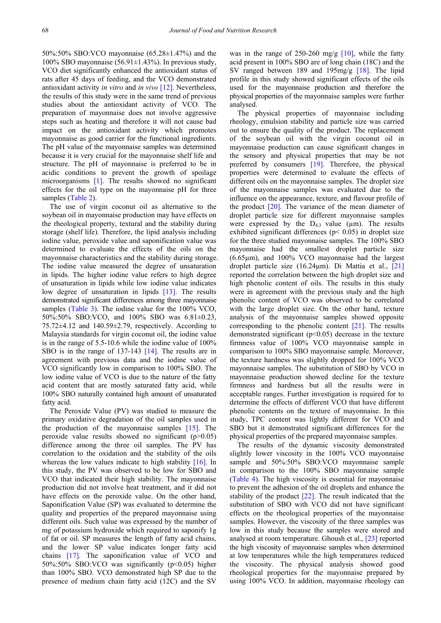50%:50% SBO:VCO mayonnaise (65.28±1.47%) and the 100% SBO mayonnaise  $(56.91 \pm 1.43)$ %). In previous study, VCO diet significantly enhanced the antioxidant status of rats after 45 days of feeding, and the VCO demonstrated antioxidant activity *in vitro* and *in vivo* [\[12\].](#page-5-11) Nevertheless, the results of this study were in the same trend of previous studies about the antioxidant activity of VCO. The preparation of mayonnaise does not involve aggressive steps such as heating and therefore it will not cause bad impact on the antioxidant activity which promotes mayonnaise as good carrier for the functional ingredients. The pH value of the mayonnaise samples was determined because it is very crucial for the mayonnaise shelf life and structure. The pH of mayonnaise is preferred to be in acidic conditions to prevent the growth of spoilage microorganisms [\[1\].](#page-5-0) The results showed no significant effects for the oil type on the mayonnaise pH for three samples [\(Table 2\)](#page-4-0).

The use of virgin coconut oil as alternative to the soybean oil in mayonnaise production may have effects on the rheological property, textural and the stability during storage (shelf life). Therefore, the lipid analysis including iodine value, peroxide value and saponification value was determined to evaluate the effects of the oils on the mayonnaise characteristics and the stability during storage. The iodine value measured the degree of unsaturation in lipids. The higher iodine value refers to high degree of unsaturation in lipids while low iodine value indicates low degree of unsaturation in lipids [\[13\].](#page-5-12) The results demonstrated significant differences among three mayonnaise samples [\(Table 3\)](#page-4-1). The iodine value for the 100% VCO, 50%:50% SBO:VCO, and 100% SBO was 6.81±0.23, 75.72±4.12 and 140.59±2.79, respectively. According to Malaysia standards for virgin coconut oil, the iodine value is in the range of 5.5-10.6 while the iodine value of 100% SBO is in the range of 137-143 [\[14\].](#page-5-13) The results are in agreement with previous data and the iodine value of VCO significantly low in comparison to 100% SBO. The low iodine value of VCO is due to the nature of the fatty acid content that are mostly saturated fatty acid, while 100% SBO naturally contained high amount of unsaturated fatty acid.

The Peroxide Value (PV) was studied to measure the primary oxidative degradation of the oil samples used in the production of the mayonnaise samples [\[15\].](#page-5-14) The peroxide value results showed no significant  $(p>0.05)$ difference among the three oil samples. The PV has correlation to the oxidation and the stability of the oils whereas the low values indicate to high stability  $[16]$ . In this study, the PV was observed to be low for SBO and VCO that indicated their high stability. The mayonnaise production did not involve heat treatment, and it did not have effects on the peroxide value. On the other hand, Saponification Value (SP) was evaluated to determine the quality and properties of the prepared mayonnaise using different oils. Such value was expressed by the number of mg of potassium hydroxide which required to saponify 1g of fat or oil. SP measures the length of fatty acid chains, and the lower SP value indicates longer fatty acid chains [\[17\].](#page-5-16) The saponification value of VCO and 50%:50% SBO:VCO was significantly (p<0.05) higher than 100% SBO. VCO demonstrated high SP due to the presence of medium chain fatty acid (12C) and the SV

was in the range of 250-260 mg/g  $[10]$ , while the fatty acid present in 100% SBO are of long chain (18C) and the SV ranged between 189 and 195mg/g [\[18\].](#page-5-17) The lipid profile in this study showed significant effects of the oils used for the mayonnaise production and therefore the physical properties of the mayonnaise samples were further analysed.

The physical properties of mayonnaise including rheology, emulsion stability and particle size was carried out to ensure the quality of the product. The replacement of the soybean oil with the virgin coconut oil in mayonnaise production can cause significant changes in the sensory and physical properties that may be not preferred by consumers [\[19\].](#page-5-18) Therefore, the physical properties were determined to evaluate the effects of different oils on the mayonnaise samples. The droplet size of the mayonnaise samples was evaluated due to the influence on the appearance, texture, and flavour profile of the product  $[20]$ . The variance of the mean diameter of droplet particle size for different mayonnaise samples were expressed by the  $D_{43}$  value (µm). The results exhibited significant differences ( $p$ < 0.05) in droplet size for the three studied mayonnaise samples. The 100% SBO mayonnaise had the smallest droplet particle size (6.65µm), and 100% VCO mayonnaise had the largest droplet particle size (16.24µm). Di Mattia et al., [\[21\]](#page-5-20) reported the correlation between the high droplet size and high phenolic content of oils. The results in this study were in agreement with the previous study and the high phenolic content of VCO was observed to be correlated with the large droplet size. On the other hand, texture analysis of the mayonnaise samples showed opposite corresponding to the phenolic content [\[21\].](#page-5-20) The results demonstrated significant (p<0.05) decrease in the texture firmness value of 100% VCO mayonnaise sample in comparison to 100% SBO mayonnaise sample. Moreover, the texture hardness was slightly dropped for 100% VCO mayonnaise samples. The substitution of SBO by VCO in mayonnaise production showed decline for the texture firmness and hardness but all the results were in acceptable ranges. Further investigation is required for to determine the effects of different VCO that have different phenolic contents on the texture of mayonnaise. In this study, TPC content was lightly different for VCO and SBO but it demonstrated significant differences for the physical properties of the prepared mayonnaise samples.

The results of the dynamic viscosity demonstrated slightly lower viscosity in the 100% VCO mayonnaise sample and 50%:50% SBO:VCO mayonnaise sample in comparison to the 100% SBO mayonnaise sample [\(Table 4\)](#page-4-2). The high viscosity is essential for mayonnaise to prevent the adhesion of the oil droplets and enhance the stability of the product [\[22\].](#page-5-21) The result indicated that the substitution of SBO with VCO did not have significant effects on the rheological properties of the mayonnaise samples. However, the viscosity of the three samples was low in this study because the samples were stored and analysed at room temperature. Ghoush et al., [\[23\]](#page-5-22) reported the high viscosity of mayonnaise samples when determined at low temperatures while the high temperatures reduced the viscosity. The physical analysis showed good rheological properties for the mayonnaise prepared by using 100% VCO. In addition, mayonnaise rheology can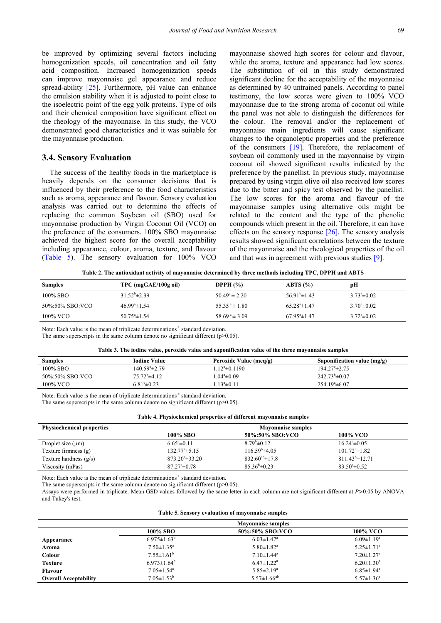be improved by optimizing several factors including homogenization speeds, oil concentration and oil fatty acid composition. Increased homogenization speeds can improve mayonnaise gel appearance and reduce spread-ability [\[25\].](#page-5-23) Furthermore, pH value can enhance the emulsion stability when it is adjusted to point close to the isoelectric point of the egg yolk proteins. Type of oils and their chemical composition have significant effect on the rheology of the mayonnaise. In this study, the VCO demonstrated good characteristics and it was suitable for the mayonnaise production.

## **3.4. Sensory Evaluation**

The success of the healthy foods in the marketplace is heavily depends on the consumer decisions that is influenced by their preference to the food characteristics such as aroma, appearance and flavour. Sensory evaluation analysis was carried out to determine the effects of replacing the common Soybean oil (SBO) used for mayonnaise production by Virgin Coconut Oil (VCO) on the preference of the consumers. 100% SBO mayonnaise achieved the highest score for the overall acceptability including appearance, colour, aroma, texture, and flavour [\(Table 5\)](#page-4-3). The sensory evaluation for 100% VCO

mayonnaise showed high scores for colour and flavour, while the aroma, texture and appearance had low scores. The substitution of oil in this study demonstrated significant decline for the acceptability of the mayonnaise as determined by 40 untrained panels. According to panel testimony, the low scores were given to 100% VCO mayonnaise due to the strong aroma of coconut oil while the panel was not able to distinguish the differences for the colour. The removal and/or the replacement of mayonnaise main ingredients will cause significant changes to the organoleptic properties and the preference of the consumers [\[19\].](#page-5-18) Therefore, the replacement of soybean oil commonly used in the mayonnaise by virgin coconut oil showed significant results indicated by the preference by the panellist. In previous study, mayonnaise prepared by using virgin olive oil also received low scores due to the bitter and spicy test observed by the panellist. The low scores for the aroma and flavour of the mayonnaise samples using alternative oils might be related to the content and the type of the phenolic compounds which present in the oil. Therefore, it can have effects on the sensory response [\[26\].](#page-5-24) The sensory analysis results showed significant correlations between the texture of the mayonnaise and the rheological properties of the oil and that was in agreement with previous studie[s \[9\].](#page-5-8) 

**Table 2. The antioxidant activity of mayonnaise determined by three methods including TPC, DPPH and ABTS**

<span id="page-4-0"></span>

| <b>Samples</b>  | TPC (mgGAE/100g oil)   | DPPH $(%)$                  | ABTS(%)                  | pН                      |
|-----------------|------------------------|-----------------------------|--------------------------|-------------------------|
| 100% SBO        | $31.52^b \pm 2.39$     | $50.49^{\circ} \pm 2.20$    | $56.91^{\rm b} \pm 1.43$ | $3.73^{\circ} \pm 0.02$ |
| 50%:50% SBO:VCO | $46.99^{\circ}$ ±1.54  | $55.35^{\text{a}} \pm 1.80$ | $65.28^{\circ}$ ± 1.47   | $3.70^{\circ} \pm 0.02$ |
| 100% VCO        | $50.75^{\circ}$ ± 1.54 | $58.69^{\text{a}} \pm 3.09$ | $67.95^{\circ}$ ± 1.47   | $3.72^{\circ} \pm 0.02$ |

Note: Each value is the mean of triplicate determinations<sup>±</sup> standard deviation.

The same superscripts in the same column denote no significant different ( $p$  $>$ 0.05).

<span id="page-4-1"></span>

| Table of the louine value, per balac value and saponification value of the three mayonnalse samples |                           |                        |                             |  |
|-----------------------------------------------------------------------------------------------------|---------------------------|------------------------|-----------------------------|--|
| <b>Samples</b>                                                                                      | <b>Iodine Value</b>       | Peroxide Value (meq/g) | Saponification value (mg/g) |  |
| 100% SBO                                                                                            | 140.59 <sup>a</sup> ±2.79 | $1.12^a \pm 0.1190$    | $194.27^{\circ}$ ± 2.75     |  |
| 50%:50% SBO:VCO                                                                                     | $75.72^b \pm 4.12$        | $1.04^a \pm 0.09$      | $242.73^{b} \pm 0.07$       |  |
| 100% VCO                                                                                            | $6.81^{\circ} \pm 0.23$   | $13^a \pm 0.11$        | $254.19^{\circ} \pm 6.07$   |  |

|  |  |  |  |  | Table 3. The iodine value, peroxide value and saponification value of the three mayonnaise samples |  |  |  |  |
|--|--|--|--|--|----------------------------------------------------------------------------------------------------|--|--|--|--|
|--|--|--|--|--|----------------------------------------------------------------------------------------------------|--|--|--|--|

Note: Each value is the mean of triplicate determinations<sup>±</sup> standard deviation.

The same superscripts in the same column denote no significant different ( $p$  $>$ 0.05).

<span id="page-4-2"></span>

| <b>Physiochemical properties</b> | <b>Mayonnaise samples</b>   |                         |                          |  |
|----------------------------------|-----------------------------|-------------------------|--------------------------|--|
|                                  | 100% SBO                    | 50%:50% SBO:VCO         | 100% VCO                 |  |
| Droplet size $(\mu m)$           | $6.65^{\circ}$ ± 0.11       | $8.79^{\circ} \pm 0.12$ | $16.24^{\circ} \pm 0.05$ |  |
| Texture firmness (g)             | $132.77^{\circ}$ $\pm$ 5.15 | $116.59^{\circ}$ ±4.05  | $101.72^{\circ}$ ± 1.82  |  |
| Texture hardness $(g/s)$         | $873.20^{\circ} \pm 33.20$  | $832.60^{ab} \pm 17.8$  | $811.43^{\circ}$ ± 12.71 |  |
| Viscosity (mPas)                 | $87.27^{\circ} \pm 0.78$    | $85.36^b \pm 0.23$      | $83.50^{\circ} \pm 0.52$ |  |

Note: Each value is the mean of triplicate determinations<sup>±</sup> standard deviation.

The same superscripts in the same column denote no significant different ( $p$  $>$ 0.05).

Assays were performed in triplicate. Mean GSD values followed by the same letter in each column are not significant different at *P*>0.05 by ANOVA and Tukey's test.

#### **Table 5. Sensory evaluation of mayonnaise samples**

<span id="page-4-3"></span>

|                              |                              | <b>Mayonnaise samples</b>    |                              |
|------------------------------|------------------------------|------------------------------|------------------------------|
|                              | 100% SBO                     | 50%:50% SBO:VCO              | 100% VCO                     |
| Appearance                   | $6.975 \pm 1.63^b$           | $6.03 \pm 1.47$ <sup>a</sup> | $6.09 \pm 1.19^a$            |
| Aroma                        | $7.50 \pm 1.35$ <sup>a</sup> | $5.80 \pm 1.82$ <sup>a</sup> | $5.25 \pm 1.71$ <sup>a</sup> |
| Colour                       | $7.55 \pm 1.61^b$            | $7.10 \pm 1.44$ <sup>a</sup> | $7.20 \pm 1.27$ <sup>a</sup> |
| <b>Texture</b>               | $6.973 \pm 1.64^b$           | $6.47 \pm 1.22$ <sup>a</sup> | $6.20 \pm 1.30^a$            |
| <b>Flavour</b>               | $7.05 \pm 1.54$ <sup>a</sup> | $5.85 \pm 2.19^a$            | $6.85 \pm 1.94$ <sup>a</sup> |
| <b>Overall Acceptability</b> | $7.05 \pm 1.53^b$            | $5.57 \pm 1.66^{ab}$         | $5.57 \pm 1.36^a$            |